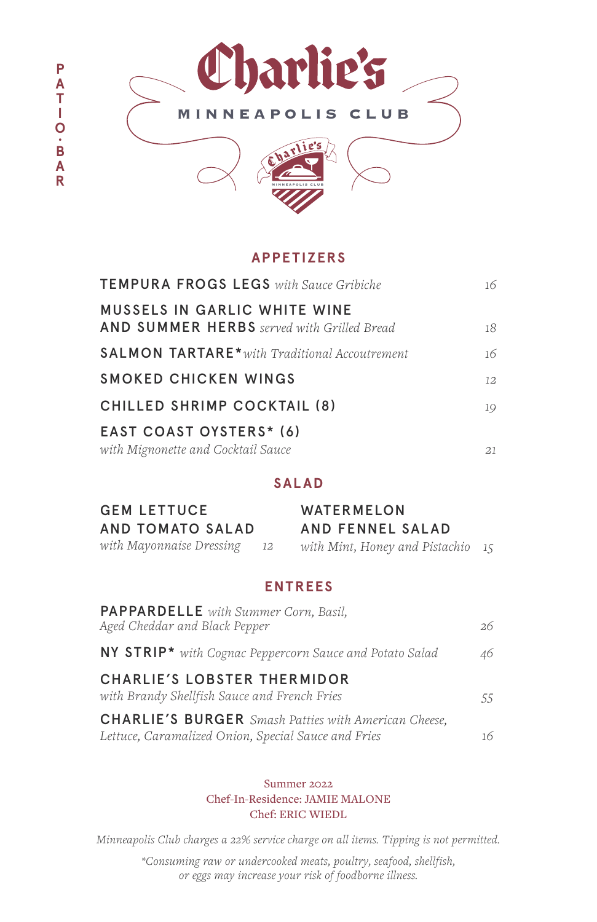

### **APPETIZERS**

| <b>TEMPURA FROGS LEGS</b> with Sauce Gribiche                                            | 16 |
|------------------------------------------------------------------------------------------|----|
| <b>MUSSELS IN GARLIC WHITE WINE</b><br><b>AND SUMMER HERBS</b> served with Grilled Bread | 18 |
| <b>SALMON TARTARE*</b> with Traditional Accoutrement                                     | 16 |
| SMOKED CHICKEN WINGS                                                                     | 12 |
| CHILLED SHRIMP COCKTAIL (8)                                                              | 19 |
| EAST COAST OYSTERS* (6)                                                                  |    |
| with Mignonette and Cocktail Sauce                                                       | 21 |

### **SALAD**

| <b>GEM LETTUCE</b>       |      | WATERMELON                        |  |
|--------------------------|------|-----------------------------------|--|
| AND TOMATO SALAD         |      | AND FENNEL SALAD                  |  |
| with Mayonnaise Dressing | - 12 | with Mint, Honey and Pistachio 15 |  |

### **ENTREES**

| <b>PAPPARDELLE</b> with Summer Corn, Basil,<br>Aged Cheddar and Black Pepper                                       | 26 |
|--------------------------------------------------------------------------------------------------------------------|----|
| <b>NY STRIP*</b> with Cognac Peppercorn Sauce and Potato Salad                                                     | 46 |
| <b>CHARLIE'S LOBSTER THERMIDOR</b><br>with Brandy Shellfish Sauce and French Fries                                 | 55 |
| <b>CHARLIE'S BURGER</b> Smash Patties with American Cheese,<br>Lettuce, Caramalized Onion, Special Sauce and Fries | 16 |

Summer 2022 Chef-In-Residence: JAMIE MALONE Chef: ERIC WIEDL

*Minneapolis Club charges a 22% service charge on all items. Tipping is not permitted.* 

*\*Consuming raw or undercooked meats, poultry, seafood, shellfish, or eggs may increase your risk of foodborne illness.*